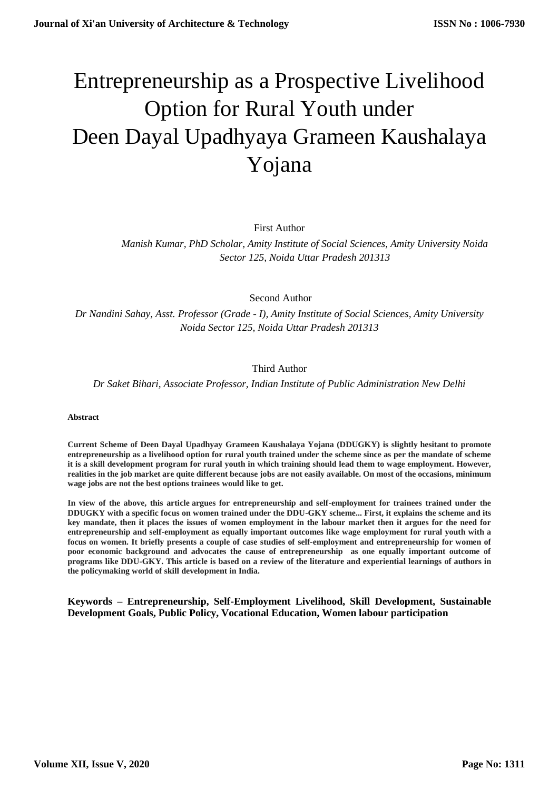# Entrepreneurship as a Prospective Livelihood Option for Rural Youth under Deen Dayal Upadhyaya Grameen Kaushalaya Yojana

First Author

*Manish Kumar, PhD Scholar, Amity Institute of Social Sciences, Amity University Noida Sector 125, Noida Uttar Pradesh 201313*

Second Author

*Dr Nandini Sahay, Asst. Professor (Grade - I), Amity Institute of Social Sciences, Amity University Noida Sector 125, Noida Uttar Pradesh 201313*

## Third Author

*Dr Saket Bihari, Associate Professor, Indian Institute of Public Administration New Delhi*

**Abstract**

**Current Scheme of Deen Dayal Upadhyay Grameen Kaushalaya Yojana (DDUGKY) is slightly hesitant to promote entrepreneurship as a livelihood option for rural youth trained under the scheme since as per the mandate of scheme it is a skill development program for rural youth in which training should lead them to wage employment. However, realities in the job market are quite different because jobs are not easily available. On most of the occasions, minimum wage jobs are not the best options trainees would like to get.**

**In view of the above, this article argues for entrepreneurship and self-employment for trainees trained under the DDUGKY with a specific focus on women trained under the DDU-GKY scheme... First, it explains the scheme and its key mandate, then it places the issues of women employment in the labour market then it argues for the need for entrepreneurship and self-employment as equally important outcomes like wage employment for rural youth with a focus on women. It briefly presents a couple of case studies of self-employment and entrepreneurship for women of poor economic background and advocates the cause of entrepreneurship as one equally important outcome of programs like DDU-GKY. This article is based on a review of the literature and experiential learnings of authors in the policymaking world of skill development in India.** 

**Keywords – Entrepreneurship, Self-Employment Livelihood, Skill Development, Sustainable Development Goals, Public Policy, Vocational Education, Women labour participation**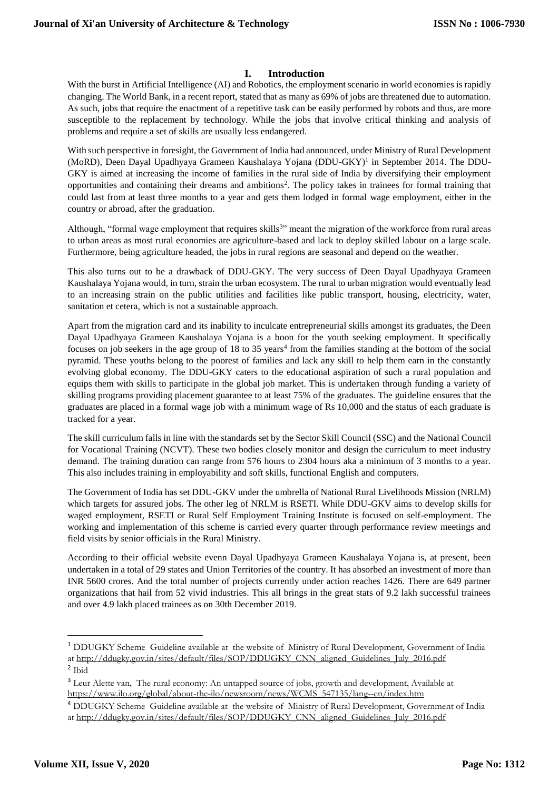#### **I. Introduction**

With the burst in Artificial Intelligence (AI) and Robotics, the employment scenario in world economies is rapidly changing. The World Bank, in a recent report, stated that as many as 69% of jobs are threatened due to automation. As such, jobs that require the enactment of a repetitive task can be easily performed by robots and thus, are more susceptible to the replacement by technology. While the jobs that involve critical thinking and analysis of problems and require a set of skills are usually less endangered.

With such perspective in foresight, the Government of India had announced, under Ministry of Rural Development (MoRD), Deen Dayal Upadhyaya Grameen Kaushalaya Yojana (DDU-GKY)<sup>1</sup> in September 2014. The DDU-GKY is aimed at increasing the income of families in the rural side of India by diversifying their employment opportunities and containing their dreams and ambitions<sup>2</sup>. The policy takes in trainees for formal training that could last from at least three months to a year and gets them lodged in formal wage employment, either in the country or abroad, after the graduation.

Although, "formal wage employment that requires skills<sup>3</sup>" meant the migration of the workforce from rural areas to urban areas as most rural economies are agriculture-based and lack to deploy skilled labour on a large scale. Furthermore, being agriculture headed, the jobs in rural regions are seasonal and depend on the weather.

This also turns out to be a drawback of DDU-GKY. The very success of Deen Dayal Upadhyaya Grameen Kaushalaya Yojana would, in turn, strain the urban ecosystem. The rural to urban migration would eventually lead to an increasing strain on the public utilities and facilities like public transport, housing, electricity, water, sanitation et cetera, which is not a sustainable approach.

Apart from the migration card and its inability to inculcate entrepreneurial skills amongst its graduates, the Deen Dayal Upadhyaya Grameen Kaushalaya Yojana is a boon for the youth seeking employment. It specifically focuses on job seekers in the age group of 18 to 35 years<sup>4</sup> from the families standing at the bottom of the social pyramid. These youths belong to the poorest of families and lack any skill to help them earn in the constantly evolving global economy. The DDU-GKY caters to the educational aspiration of such a rural population and equips them with skills to participate in the global job market. This is undertaken through funding a variety of skilling programs providing placement guarantee to at least 75% of the graduates. The guideline ensures that the graduates are placed in a formal wage job with a minimum wage of Rs 10,000 and the status of each graduate is tracked for a year.

The skill curriculum falls in line with the standards set by the Sector Skill Council (SSC) and the National Council for Vocational Training (NCVT). These two bodies closely monitor and design the curriculum to meet industry demand. The training duration can range from 576 hours to 2304 hours aka a minimum of 3 months to a year. This also includes training in employability and soft skills, functional English and computers.

The Government of India has set DDU-GKV under the umbrella of National Rural Livelihoods Mission (NRLM) which targets for assured jobs. The other leg of NRLM is RSETI. While DDU-GKV aims to develop skills for waged employment, RSETI or Rural Self Employment Training Institute is focused on self-employment. The working and implementation of this scheme is carried every quarter through performance review meetings and field visits by senior officials in the Rural Ministry.

According to their official website evenn Dayal Upadhyaya Grameen Kaushalaya Yojana is, at present, been undertaken in a total of 29 states and Union Territories of the country. It has absorbed an investment of more than INR 5600 crores. And the total number of projects currently under action reaches 1426. There are 649 partner organizations that hail from 52 vivid industries. This all brings in the great stats of 9.2 lakh successful trainees and over 4.9 lakh placed trainees as on 30th December 2019.

<sup>1</sup> DDUGKY Scheme Guideline available at the website of Ministry of Rural Development, Government of India a[t http://ddugky.gov.in/sites/default/files/SOP/DDUGKY\\_CNN\\_aligned\\_Guidelines\\_July\\_2016.pdf](http://ddugky.gov.in/sites/default/files/SOP/DDUGKY_CNN_aligned_Guidelines_July_2016.pdf) 2 Ibid

<sup>&</sup>lt;sup>3</sup> Leur Alette van, The rural economy: An untapped source of jobs, growth and development, Available at [https://www.ilo.org/global/about-the-ilo/newsroom/news/WCMS\\_547135/lang--en/index.htm](https://www.ilo.org/global/about-the-ilo/newsroom/news/WCMS_547135/lang--en/index.htm)

<sup>4</sup> DDUGKY Scheme Guideline available at the website of Ministry of Rural Development, Government of India a[t http://ddugky.gov.in/sites/default/files/SOP/DDUGKY\\_CNN\\_aligned\\_Guidelines\\_July\\_2016.pdf](http://ddugky.gov.in/sites/default/files/SOP/DDUGKY_CNN_aligned_Guidelines_July_2016.pdf)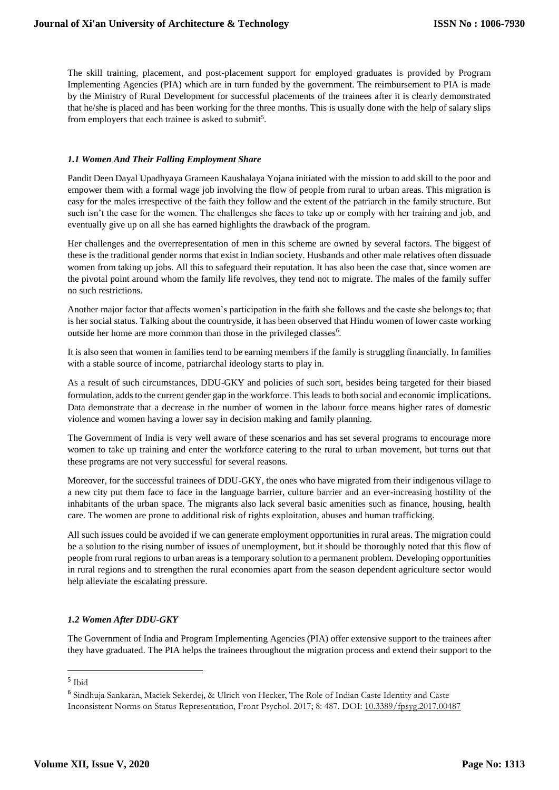The skill training, placement, and post-placement support for employed graduates is provided by Program Implementing Agencies (PIA) which are in turn funded by the government. The reimbursement to PIA is made by the Ministry of Rural Development for successful placements of the trainees after it is clearly demonstrated that he/she is placed and has been working for the three months. This is usually done with the help of salary slips from employers that each trainee is asked to submit<sup>5</sup>.

#### *1.1 Women And Their Falling Employment Share*

Pandit Deen Dayal Upadhyaya Grameen Kaushalaya Yojana initiated with the mission to add skill to the poor and empower them with a formal wage job involving the flow of people from rural to urban areas. This migration is easy for the males irrespective of the faith they follow and the extent of the patriarch in the family structure. But such isn't the case for the women. The challenges she faces to take up or comply with her training and job, and eventually give up on all she has earned highlights the drawback of the program.

Her challenges and the overrepresentation of men in this scheme are owned by several factors. The biggest of these is the traditional gender norms that exist in Indian society. Husbands and other male relatives often dissuade women from taking up jobs. All this to safeguard their reputation. It has also been the case that, since women are the pivotal point around whom the family life revolves, they tend not to migrate. The males of the family suffer no such restrictions.

Another major factor that affects women's participation in the faith she follows and the caste she belongs to; that is her social status. Talking about the countryside, it has been observed that Hindu women of lower caste working outside her home are more common than those in the privileged classes<sup>6</sup>.

It is also seen that women in families tend to be earning members if the family is struggling financially. In families with a stable source of income, patriarchal ideology starts to play in.

As a result of such circumstances, DDU-GKY and policies of such sort, besides being targeted for their biased formulation, adds to the current gender gap in the workforce. This leads to both social and economic implications. Data demonstrate that a decrease in the number of women in the labour force means higher rates of domestic violence and women having a lower say in decision making and family planning.

The Government of India is very well aware of these scenarios and has set several programs to encourage more women to take up training and enter the workforce catering to the rural to urban movement, but turns out that these programs are not very successful for several reasons.

Moreover, for the successful trainees of DDU-GKY, the ones who have migrated from their indigenous village to a new city put them face to face in the language barrier, culture barrier and an ever-increasing hostility of the inhabitants of the urban space. The migrants also lack several basic amenities such as finance, housing, health care. The women are prone to additional risk of rights exploitation, abuses and human trafficking.

All such issues could be avoided if we can generate employment opportunities in rural areas. The migration could be a solution to the rising number of issues of unemployment, but it should be thoroughly noted that this flow of people from rural regions to urban areas is a temporary solution to a permanent problem. Developing opportunities in rural regions and to strengthen the rural economies apart from the season dependent agriculture sector would help alleviate the escalating pressure.

#### *1.2 Women After DDU-GKY*

The Government of India and Program Implementing Agencies (PIA) offer extensive support to the trainees after they have graduated. The PIA helps the trainees throughout the migration process and extend their support to the

1

<sup>5</sup> Ibid

<sup>6</sup> Sindhuja Sankaran, Maciek Sekerdej, & Ulrich von Hecker, The Role of Indian Caste Identity and Caste Inconsistent Norms on Status Representation, Front Psychol. 2017; 8: 487. DOI: [10.3389/fpsyg.2017.00487](https://dx.doi.org/10.3389%2Ffpsyg.2017.00487)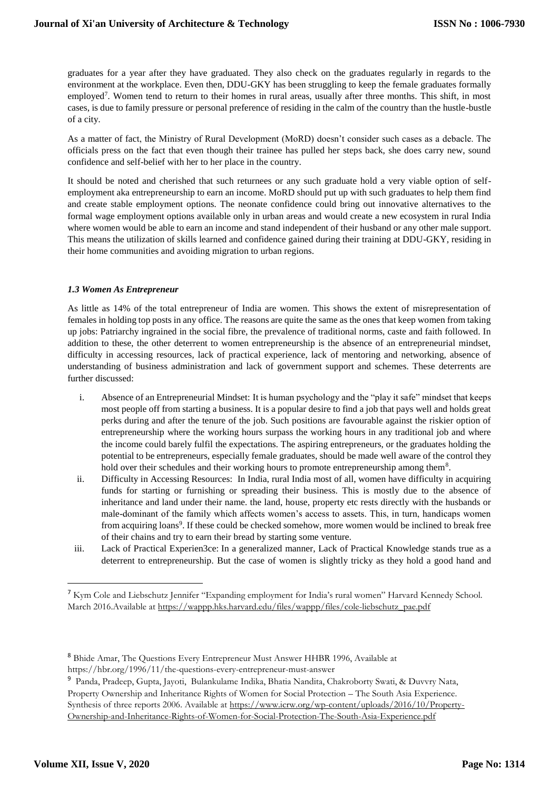graduates for a year after they have graduated. They also check on the graduates regularly in regards to the environment at the workplace. Even then, DDU-GKY has been struggling to keep the female graduates formally employed<sup>7</sup>. Women tend to return to their homes in rural areas, usually after three months. This shift, in most cases, is due to family pressure or personal preference of residing in the calm of the country than the hustle-bustle of a city.

As a matter of fact, the Ministry of Rural Development (MoRD) doesn't consider such cases as a debacle. The officials press on the fact that even though their trainee has pulled her steps back, she does carry new, sound confidence and self-belief with her to her place in the country.

It should be noted and cherished that such returnees or any such graduate hold a very viable option of selfemployment aka entrepreneurship to earn an income. MoRD should put up with such graduates to help them find and create stable employment options. The neonate confidence could bring out innovative alternatives to the formal wage employment options available only in urban areas and would create a new ecosystem in rural India where women would be able to earn an income and stand independent of their husband or any other male support. This means the utilization of skills learned and confidence gained during their training at DDU-GKY, residing in their home communities and avoiding migration to urban regions.

#### *1.3 Women As Entrepreneur*

As little as 14% of the total entrepreneur of India are women. This shows the extent of misrepresentation of females in holding top posts in any office. The reasons are quite the same as the ones that keep women from taking up jobs: Patriarchy ingrained in the social fibre, the prevalence of traditional norms, caste and faith followed. In addition to these, the other deterrent to women entrepreneurship is the absence of an entrepreneurial mindset, difficulty in accessing resources, lack of practical experience, lack of mentoring and networking, absence of understanding of business administration and lack of government support and schemes. These deterrents are further discussed:

- i. Absence of an Entrepreneurial Mindset: It is human psychology and the "play it safe" mindset that keeps most people off from starting a business. It is a popular desire to find a job that pays well and holds great perks during and after the tenure of the job. Such positions are favourable against the riskier option of entrepreneurship where the working hours surpass the working hours in any traditional job and where the income could barely fulfil the expectations. The aspiring entrepreneurs, or the graduates holding the potential to be entrepreneurs, especially female graduates, should be made well aware of the control they hold over their schedules and their working hours to promote entrepreneurship among them<sup>8</sup>.
- ii. Difficulty in Accessing Resources: In India, rural India most of all, women have difficulty in acquiring funds for starting or furnishing or spreading their business. This is mostly due to the absence of inheritance and land under their name. the land, house, property etc rests directly with the husbands or male-dominant of the family which affects women's access to assets. This, in turn, handicaps women from acquiring loans<sup>9</sup>. If these could be checked somehow, more women would be inclined to break free of their chains and try to earn their bread by starting some venture.
- iii. Lack of Practical Experien3ce: In a generalized manner, Lack of Practical Knowledge stands true as a deterrent to entrepreneurship. But the case of women is slightly tricky as they hold a good hand and

<sup>7</sup> Kym Cole and Liebschutz Jennifer "Expanding employment for India's rural women" Harvard Kennedy School. March 2016.Available at [https://wappp.hks.harvard.edu/files/wappp/files/cole-liebschutz\\_pae.pdf](https://wappp.hks.harvard.edu/files/wappp/files/cole-liebschutz_pae.pdf)

<sup>8</sup> Bhide Amar, The Questions Every Entrepreneur Must Answer HHBR 1996, Available at https://hbr.org/1996/11/the-questions-every-entrepreneur-must-answer

<sup>9</sup> Panda, Pradeep, Gupta, Jayoti, Bulankulame Indika, Bhatia Nandita, Chakroborty Swati, & Duvvry Nata, Property Ownership and Inheritance Rights of Women for Social Protection – The South Asia Experience.

Synthesis of three reports 2006. Available at [https://www.icrw.org/wp-content/uploads/2016/10/Property-](https://www.icrw.org/wp-content/uploads/2016/10/Property-Ownership-and-Inheritance-Rights-of-Women-for-Social-Protection-The-South-Asia-Experience.pdf)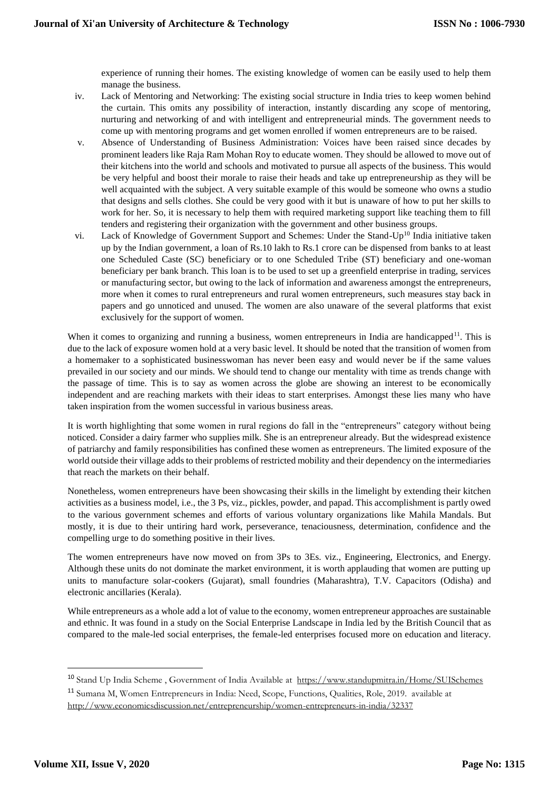experience of running their homes. The existing knowledge of women can be easily used to help them manage the business.

- iv. Lack of Mentoring and Networking: The existing social structure in India tries to keep women behind the curtain. This omits any possibility of interaction, instantly discarding any scope of mentoring, nurturing and networking of and with intelligent and entrepreneurial minds. The government needs to come up with mentoring programs and get women enrolled if women entrepreneurs are to be raised.
- v. Absence of Understanding of Business Administration: Voices have been raised since decades by prominent leaders like Raja Ram Mohan Roy to educate women. They should be allowed to move out of their kitchens into the world and schools and motivated to pursue all aspects of the business. This would be very helpful and boost their morale to raise their heads and take up entrepreneurship as they will be well acquainted with the subject. A very suitable example of this would be someone who owns a studio that designs and sells clothes. She could be very good with it but is unaware of how to put her skills to work for her. So, it is necessary to help them with required marketing support like teaching them to fill tenders and registering their organization with the government and other business groups.
- vi. Lack of Knowledge of Government Support and Schemes: Under the Stand-Up<sup>10</sup> India initiative taken up by the Indian government, a loan of Rs.10 lakh to Rs.1 crore can be dispensed from banks to at least one Scheduled Caste (SC) beneficiary or to one Scheduled Tribe (ST) beneficiary and one-woman beneficiary per bank branch. This loan is to be used to set up a greenfield enterprise in trading, services or manufacturing sector, but owing to the lack of information and awareness amongst the entrepreneurs, more when it comes to rural entrepreneurs and rural women entrepreneurs, such measures stay back in papers and go unnoticed and unused. The women are also unaware of the several platforms that exist exclusively for the support of women.

When it comes to organizing and running a business, women entrepreneurs in India are handicapped<sup>11</sup>. This is due to the lack of exposure women hold at a very basic level. It should be noted that the transition of women from a homemaker to a sophisticated businesswoman has never been easy and would never be if the same values prevailed in our society and our minds. We should tend to change our mentality with time as trends change with the passage of time. This is to say as women across the globe are showing an interest to be economically independent and are reaching markets with their ideas to start enterprises. Amongst these lies many who have taken inspiration from the women successful in various business areas.

It is worth highlighting that some women in rural regions do fall in the "entrepreneurs" category without being noticed. Consider a dairy farmer who supplies milk. She is an entrepreneur already. But the widespread existence of patriarchy and family responsibilities has confined these women as entrepreneurs. The limited exposure of the world outside their village adds to their problems of restricted mobility and their dependency on the intermediaries that reach the markets on their behalf.

Nonetheless, women entrepreneurs have been showcasing their skills in the limelight by extending their kitchen activities as a business model, i.e., the 3 Ps, viz., pickles, powder, and papad. This accomplishment is partly owed to the various government schemes and efforts of various voluntary organizations like Mahila Mandals. But mostly, it is due to their untiring hard work, perseverance, tenaciousness, determination, confidence and the compelling urge to do something positive in their lives.

The women entrepreneurs have now moved on from 3Ps to 3Es. viz., Engineering, Electronics, and Energy. Although these units do not dominate the market environment, it is worth applauding that women are putting up units to manufacture solar-cookers (Gujarat), small foundries (Maharashtra), T.V. Capacitors (Odisha) and electronic ancillaries (Kerala).

While entrepreneurs as a whole add a lot of value to the economy, women entrepreneur approaches are sustainable and ethnic. It was found in a study on the Social Enterprise Landscape in India led by the British Council that as compared to the male-led social enterprises, the female-led enterprises focused more on education and literacy.

<sup>10</sup> Stand Up India Scheme , Government of India Available at <https://www.standupmitra.in/Home/SUISchemes> <sup>11</sup> Sumana M, Women Entrepreneurs in India: Need, Scope, Functions, Qualities, Role, 2019. available at

<http://www.economicsdiscussion.net/entrepreneurship/women-entrepreneurs-in-india/32337>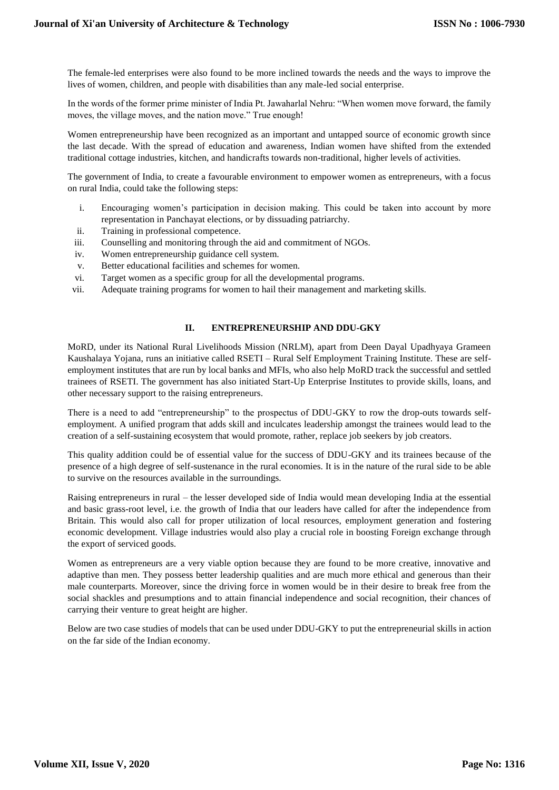The female-led enterprises were also found to be more inclined towards the needs and the ways to improve the lives of women, children, and people with disabilities than any male-led social enterprise.

In the words of the former prime minister of India Pt. Jawaharlal Nehru: "When women move forward, the family moves, the village moves, and the nation move." True enough!

Women entrepreneurship have been recognized as an important and untapped source of economic growth since the last decade. With the spread of education and awareness, Indian women have shifted from the extended traditional cottage industries, kitchen, and handicrafts towards non-traditional, higher levels of activities.

The government of India, to create a favourable environment to empower women as entrepreneurs, with a focus on rural India, could take the following steps:

- i. Encouraging women's participation in decision making. This could be taken into account by more representation in Panchayat elections, or by dissuading patriarchy.
- ii. Training in professional competence.
- iii. Counselling and monitoring through the aid and commitment of NGOs.
- iv. Women entrepreneurship guidance cell system.
- v. Better educational facilities and schemes for women.
- vi. Target women as a specific group for all the developmental programs.
- vii. Adequate training programs for women to hail their management and marketing skills.

#### **II. ENTREPRENEURSHIP AND DDU-GKY**

MoRD, under its National Rural Livelihoods Mission (NRLM), apart from Deen Dayal Upadhyaya Grameen Kaushalaya Yojana, runs an initiative called RSETI – Rural Self Employment Training Institute. These are selfemployment institutes that are run by local banks and MFIs, who also help MoRD track the successful and settled trainees of RSETI. The government has also initiated Start-Up Enterprise Institutes to provide skills, loans, and other necessary support to the raising entrepreneurs.

There is a need to add "entrepreneurship" to the prospectus of DDU-GKY to row the drop-outs towards selfemployment. A unified program that adds skill and inculcates leadership amongst the trainees would lead to the creation of a self-sustaining ecosystem that would promote, rather, replace job seekers by job creators.

This quality addition could be of essential value for the success of DDU-GKY and its trainees because of the presence of a high degree of self-sustenance in the rural economies. It is in the nature of the rural side to be able to survive on the resources available in the surroundings.

Raising entrepreneurs in rural – the lesser developed side of India would mean developing India at the essential and basic grass-root level, i.e. the growth of India that our leaders have called for after the independence from Britain. This would also call for proper utilization of local resources, employment generation and fostering economic development. Village industries would also play a crucial role in boosting Foreign exchange through the export of serviced goods.

Women as entrepreneurs are a very viable option because they are found to be more creative, innovative and adaptive than men. They possess better leadership qualities and are much more ethical and generous than their male counterparts. Moreover, since the driving force in women would be in their desire to break free from the social shackles and presumptions and to attain financial independence and social recognition, their chances of carrying their venture to great height are higher.

Below are two case studies of models that can be used under DDU-GKY to put the entrepreneurial skills in action on the far side of the Indian economy.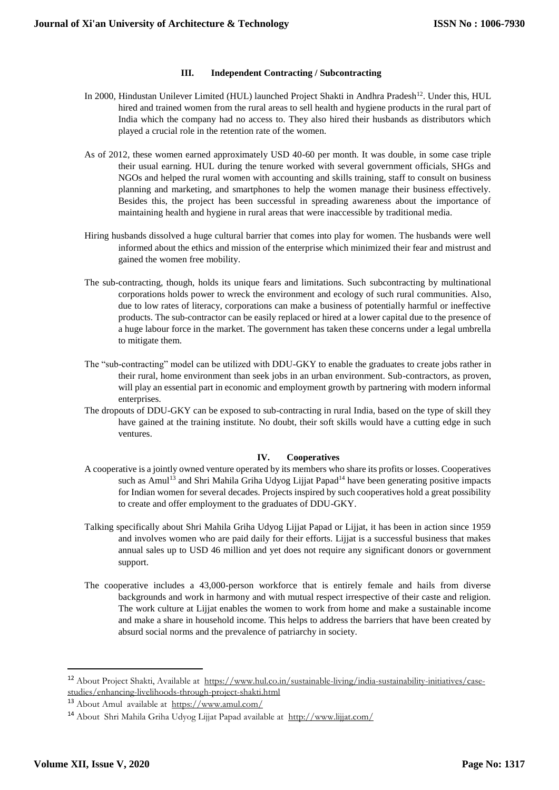#### **III. Independent Contracting / Subcontracting**

- In 2000, Hindustan Unilever Limited (HUL) launched Project Shakti in Andhra Pradesh<sup>12</sup>. Under this, HUL hired and trained women from the rural areas to sell health and hygiene products in the rural part of India which the company had no access to. They also hired their husbands as distributors which played a crucial role in the retention rate of the women.
- As of 2012, these women earned approximately USD 40-60 per month. It was double, in some case triple their usual earning. HUL during the tenure worked with several government officials, SHGs and NGOs and helped the rural women with accounting and skills training, staff to consult on business planning and marketing, and smartphones to help the women manage their business effectively. Besides this, the project has been successful in spreading awareness about the importance of maintaining health and hygiene in rural areas that were inaccessible by traditional media.
- Hiring husbands dissolved a huge cultural barrier that comes into play for women. The husbands were well informed about the ethics and mission of the enterprise which minimized their fear and mistrust and gained the women free mobility.
- The sub-contracting, though, holds its unique fears and limitations. Such subcontracting by multinational corporations holds power to wreck the environment and ecology of such rural communities. Also, due to low rates of literacy, corporations can make a business of potentially harmful or ineffective products. The sub-contractor can be easily replaced or hired at a lower capital due to the presence of a huge labour force in the market. The government has taken these concerns under a legal umbrella to mitigate them.
- The "sub-contracting" model can be utilized with DDU-GKY to enable the graduates to create jobs rather in their rural, home environment than seek jobs in an urban environment. Sub-contractors, as proven, will play an essential part in economic and employment growth by partnering with modern informal enterprises.
- The dropouts of DDU-GKY can be exposed to sub-contracting in rural India, based on the type of skill they have gained at the training institute. No doubt, their soft skills would have a cutting edge in such ventures.

#### **IV. Cooperatives**

- A cooperative is a jointly owned venture operated by its members who share its profits or losses. Cooperatives such as Amul<sup>13</sup> and Shri Mahila Griha Udyog Lijjat Papad<sup>14</sup> have been generating positive impacts for Indian women for several decades. Projects inspired by such cooperatives hold a great possibility to create and offer employment to the graduates of DDU-GKY.
- Talking specifically about Shri Mahila Griha Udyog Lijjat Papad or Lijjat, it has been in action since 1959 and involves women who are paid daily for their efforts. Lijjat is a successful business that makes annual sales up to USD 46 million and yet does not require any significant donors or government support.
- The cooperative includes a 43,000-person workforce that is entirely female and hails from diverse backgrounds and work in harmony and with mutual respect irrespective of their caste and religion. The work culture at Lijjat enables the women to work from home and make a sustainable income and make a share in household income. This helps to address the barriers that have been created by absurd social norms and the prevalence of patriarchy in society.

<sup>&</sup>lt;sup>12</sup> About Project Shakti, Available at [https://www.hul.co.in/sustainable-living/india-sustainability-initiatives/case](https://www.hul.co.in/sustainable-living/india-sustainability-initiatives/case-studies/enhancing-livelihoods-through-project-shakti.html)[studies/enhancing-livelihoods-through-project-shakti.html](https://www.hul.co.in/sustainable-living/india-sustainability-initiatives/case-studies/enhancing-livelihoods-through-project-shakti.html)

<sup>13</sup> About Amul available at <https://www.amul.com/>

<sup>14</sup> About Shri Mahila Griha Udyog Lijjat Papad available at <http://www.lijjat.com/>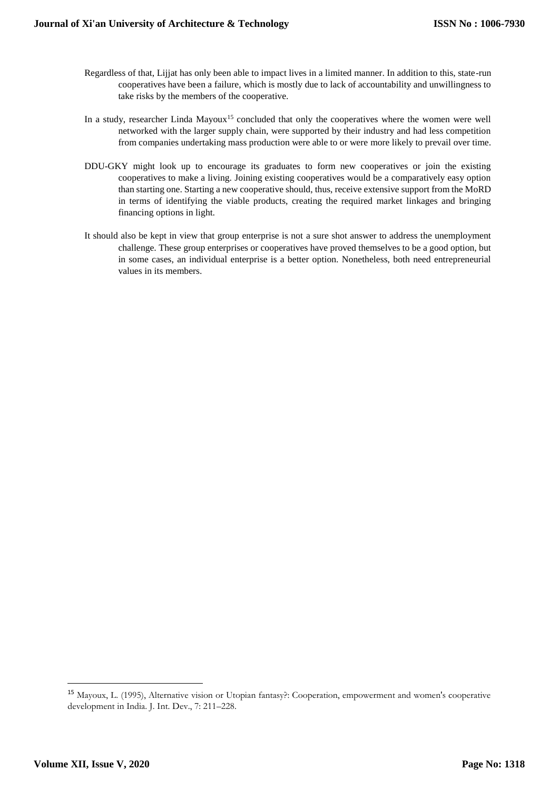- Regardless of that, Lijjat has only been able to impact lives in a limited manner. In addition to this, state-run cooperatives have been a failure, which is mostly due to lack of accountability and unwillingness to take risks by the members of the cooperative.
- In a study, researcher Linda Mayoux<sup>15</sup> concluded that only the cooperatives where the women were well networked with the larger supply chain, were supported by their industry and had less competition from companies undertaking mass production were able to or were more likely to prevail over time.
- DDU-GKY might look up to encourage its graduates to form new cooperatives or join the existing cooperatives to make a living. Joining existing cooperatives would be a comparatively easy option than starting one. Starting a new cooperative should, thus, receive extensive support from the MoRD in terms of identifying the viable products, creating the required market linkages and bringing financing options in light.
- It should also be kept in view that group enterprise is not a sure shot answer to address the unemployment challenge. These group enterprises or cooperatives have proved themselves to be a good option, but in some cases, an individual enterprise is a better option. Nonetheless, both need entrepreneurial values in its members.

<sup>15</sup> Mayoux, L. (1995), Alternative vision or Utopian fantasy?: Cooperation, empowerment and women's cooperative development in India. J. Int. Dev., 7: 211–228.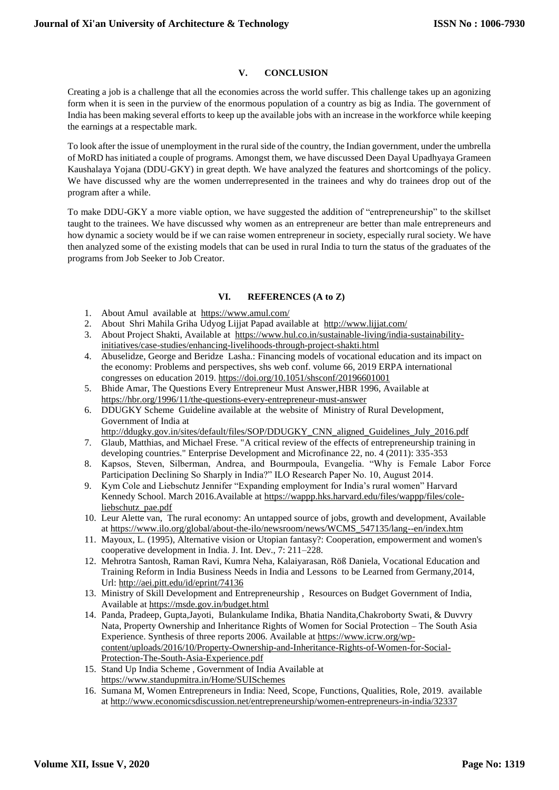### **V. CONCLUSION**

Creating a job is a challenge that all the economies across the world suffer. This challenge takes up an agonizing form when it is seen in the purview of the enormous population of a country as big as India. The government of India has been making several efforts to keep up the available jobs with an increase in the workforce while keeping the earnings at a respectable mark.

To look after the issue of unemployment in the rural side of the country, the Indian government, under the umbrella of MoRD has initiated a couple of programs. Amongst them, we have discussed Deen Dayal Upadhyaya Grameen Kaushalaya Yojana (DDU-GKY) in great depth. We have analyzed the features and shortcomings of the policy. We have discussed why are the women underrepresented in the trainees and why do trainees drop out of the program after a while.

To make DDU-GKY a more viable option, we have suggested the addition of "entrepreneurship" to the skillset taught to the trainees. We have discussed why women as an entrepreneur are better than male entrepreneurs and how dynamic a society would be if we can raise women entrepreneur in society, especially rural society. We have then analyzed some of the existing models that can be used in rural India to turn the status of the graduates of the programs from Job Seeker to Job Creator.

#### **VI. REFERENCES (A to Z)**

- 1. About Amul available at <https://www.amul.com/>
- 2. About Shri Mahila Griha Udyog Lijjat Papad available at <http://www.lijjat.com/>
- 3. About Project Shakti, Available at [https://www.hul.co.in/sustainable-living/india-sustainability](https://www.hul.co.in/sustainable-living/india-sustainability-initiatives/case-studies/enhancing-livelihoods-through-project-shakti.html)[initiatives/case-studies/enhancing-livelihoods-through-project-shakti.html](https://www.hul.co.in/sustainable-living/india-sustainability-initiatives/case-studies/enhancing-livelihoods-through-project-shakti.html)
- 4. Abuselidze, George and Beridze Lasha.: Financing models of vocational education and its impact on the economy: Problems and perspectives, shs web conf. volume 66, 2019 ERPA international congresses on education 2019. <https://doi.org/10.1051/shsconf/20196601001>
- 5. Bhide Amar, The Questions Every Entrepreneur Must Answer,HBR 1996, Available at <https://hbr.org/1996/11/the-questions-every-entrepreneur-must-answer>
- 6. DDUGKY Scheme Guideline available at the website of Ministry of Rural Development, Government of India at

[http://ddugky.gov.in/sites/default/files/SOP/DDUGKY\\_CNN\\_aligned\\_Guidelines\\_July\\_2016.pdf](http://ddugky.gov.in/sites/default/files/SOP/DDUGKY_CNN_aligned_Guidelines_July_2016.pdf)

- 7. Glaub, Matthias, and Michael Frese. "A critical review of the effects of entrepreneurship training in developing countries." Enterprise Development and Microfinance 22, no. 4 (2011): 335-353
- 8. Kapsos, Steven, Silberman, Andrea, and Bourmpoula, Evangelia. "Why is Female Labor Force Participation Declining So Sharply in India?" ILO Research Paper No. 10, August 2014.
- 9. Kym Cole and Liebschutz Jennifer "Expanding employment for India's rural women" Harvard Kennedy School. March 2016.Available at [https://wappp.hks.harvard.edu/files/wappp/files/cole](https://wappp.hks.harvard.edu/files/wappp/files/cole-liebschutz_pae.pdf)[liebschutz\\_pae.pdf](https://wappp.hks.harvard.edu/files/wappp/files/cole-liebschutz_pae.pdf)
- 10. Leur Alette van, The rural economy: An untapped source of jobs, growth and development, Available a[t https://www.ilo.org/global/about-the-ilo/newsroom/news/WCMS\\_547135/lang--en/index.htm](https://www.ilo.org/global/about-the-ilo/newsroom/news/WCMS_547135/lang--en/index.htm)
- 11. Mayoux, L. (1995), Alternative vision or Utopian fantasy?: Cooperation, empowerment and women's cooperative development in India. J. Int. Dev., 7: 211–228.
- 12. Mehrotra Santosh, Raman Ravi, Kumra Neha, Kalaiyarasan, Röß Daniela, Vocational Education and Training Reform in India Business Needs in India and Lessons to be Learned from Germany,2014, Url[: http://aei.pitt.edu/id/eprint/74136](http://aei.pitt.edu/id/eprint/74136)
- 13. Ministry of Skill Development and Entrepreneurship , Resources on Budget Government of India, Available at<https://msde.gov.in/budget.html>
- 14. Panda, Pradeep, Gupta,Jayoti, Bulankulame Indika, Bhatia Nandita,Chakroborty Swati, & Duvvry Nata, Property Ownership and Inheritance Rights of Women for Social Protection – The South Asia Experience. Synthesis of three reports 2006. Available at [https://www.icrw.org/wp](https://www.icrw.org/wp-content/uploads/2016/10/Property-Ownership-and-Inheritance-Rights-of-Women-for-Social-Protection-The-South-Asia-Experience.pdf)[content/uploads/2016/10/Property-Ownership-and-Inheritance-Rights-of-Women-for-Social-](https://www.icrw.org/wp-content/uploads/2016/10/Property-Ownership-and-Inheritance-Rights-of-Women-for-Social-Protection-The-South-Asia-Experience.pdf)[Protection-The-South-Asia-Experience.pdf](https://www.icrw.org/wp-content/uploads/2016/10/Property-Ownership-and-Inheritance-Rights-of-Women-for-Social-Protection-The-South-Asia-Experience.pdf)
- 15. Stand Up India Scheme , Government of India Available at <https://www.standupmitra.in/Home/SUISchemes>
- 16. Sumana M, Women Entrepreneurs in India: Need, Scope, Functions, Qualities, Role, 2019. available a[t http://www.economicsdiscussion.net/entrepreneurship/women-entrepreneurs-in-india/32337](http://www.economicsdiscussion.net/entrepreneurship/women-entrepreneurs-in-india/32337)